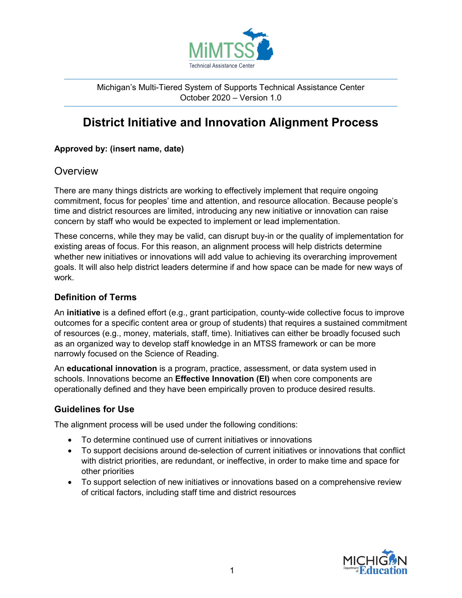

Michigan's Multi-Tiered System of Supports Technical Assistance Center October 2020 – Version 1.0

# **District Initiative and Innovation Alignment Process**

#### **Approved by: (insert name, date)**

### **Overview**

There are many things districts are working to effectively implement that require ongoing commitment, focus for peoples' time and attention, and resource allocation. Because people's time and district resources are limited, introducing any new initiative or innovation can raise concern by staff who would be expected to implement or lead implementation.

These concerns, while they may be valid, can disrupt buy-in or the quality of implementation for existing areas of focus. For this reason, an alignment process will help districts determine whether new initiatives or innovations will add value to achieving its overarching improvement goals. It will also help district leaders determine if and how space can be made for new ways of work.

#### **Definition of Terms**

An **initiative** is a defined effort (e.g., grant participation, county-wide collective focus to improve outcomes for a specific content area or group of students) that requires a sustained commitment of resources (e.g., money, materials, staff, time). Initiatives can either be broadly focused such as an organized way to develop staff knowledge in an MTSS framework or can be more narrowly focused on the Science of Reading.

An **educational innovation** is a program, practice, assessment, or data system used in schools. Innovations become an **Effective Innovation (EI)** when core components are operationally defined and they have been empirically proven to produce desired results.

### **Guidelines for Use**

The alignment process will be used under the following conditions:

- To determine continued use of current initiatives or innovations
- To support decisions around de-selection of current initiatives or innovations that conflict with district priorities, are redundant, or ineffective, in order to make time and space for other priorities
- To support selection of new initiatives or innovations based on a comprehensive review of critical factors, including staff time and district resources

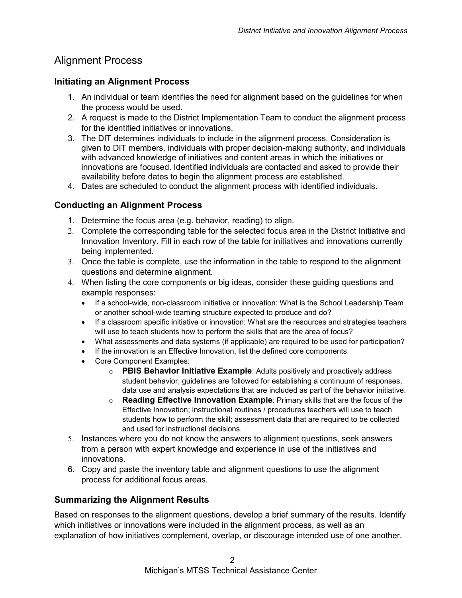## Alignment Process

#### **Initiating an Alignment Process**

- 1. An individual or team identifies the need for alignment based on the guidelines for when the process would be used.
- 2. A request is made to the District Implementation Team to conduct the alignment process for the identified initiatives or innovations.
- 3. The DIT determines individuals to include in the alignment process. Consideration is given to DIT members, individuals with proper decision-making authority, and individuals with advanced knowledge of initiatives and content areas in which the initiatives or innovations are focused. Identified individuals are contacted and asked to provide their availability before dates to begin the alignment process are established.
- 4. Dates are scheduled to conduct the alignment process with identified individuals.

#### **Conducting an Alignment Process**

- 1. Determine the focus area (e.g. behavior, reading) to align.
- 2. Complete the corresponding table for the selected focus area in the District Initiative and Innovation Inventory. Fill in each row of the table for initiatives and innovations currently being implemented.
- 3. Once the table is complete, use the information in the table to respond to the alignment questions and determine alignment.
- 4. When listing the core components or big ideas, consider these guiding questions and example responses:
	- If a school-wide, non-classroom initiative or innovation: What is the School Leadership Team or another school-wide teaming structure expected to produce and do?
	- If a classroom specific initiative or innovation: What are the resources and strategies teachers will use to teach students how to perform the skills that are the area of focus?
	- What assessments and data systems (if applicable) are required to be used for participation?
	- If the innovation is an Effective Innovation, list the defined core components
	- Core Component Examples:
		- o **PBIS Behavior Initiative Example**: Adults positively and proactively address student behavior, guidelines are followed for establishing a continuum of responses, data use and analysis expectations that are included as part of the behavior initiative.
		- o **Reading Effective Innovation Example**: Primary skills that are the focus of the Effective Innovation; instructional routines / procedures teachers will use to teach students how to perform the skill; assessment data that are required to be collected and used for instructional decisions.
- 5. Instances where you do not know the answers to alignment questions, seek answers from a person with expert knowledge and experience in use of the initiatives and innovations.
- 6. Copy and paste the inventory table and alignment questions to use the alignment process for additional focus areas.

#### **Summarizing the Alignment Results**

Based on responses to the alignment questions, develop a brief summary of the results. Identify which initiatives or innovations were included in the alignment process, as well as an explanation of how initiatives complement, overlap, or discourage intended use of one another.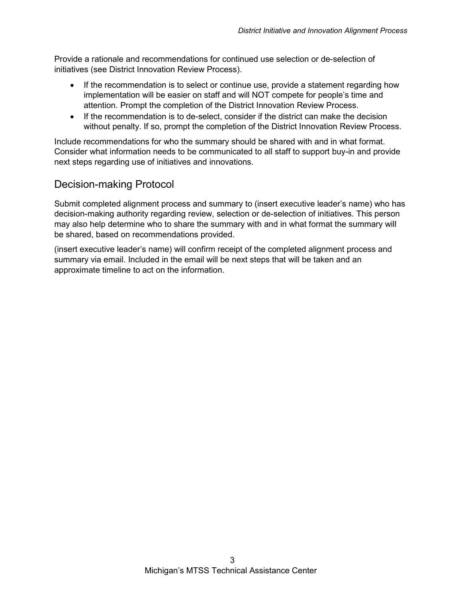Provide a rationale and recommendations for continued use selection or de-selection of initiatives (see District Innovation Review Process).

- If the recommendation is to select or continue use, provide a statement regarding how implementation will be easier on staff and will NOT compete for people's time and attention. Prompt the completion of the District Innovation Review Process.
- If the recommendation is to de-select, consider if the district can make the decision without penalty. If so, prompt the completion of the District Innovation Review Process.

Include recommendations for who the summary should be shared with and in what format. Consider what information needs to be communicated to all staff to support buy-in and provide next steps regarding use of initiatives and innovations.

# Decision-making Protocol

Submit completed alignment process and summary to (insert executive leader's name) who has decision-making authority regarding review, selection or de-selection of initiatives. This person may also help determine who to share the summary with and in what format the summary will be shared, based on recommendations provided.

(insert executive leader's name) will confirm receipt of the completed alignment process and summary via email. Included in the email will be next steps that will be taken and an approximate timeline to act on the information.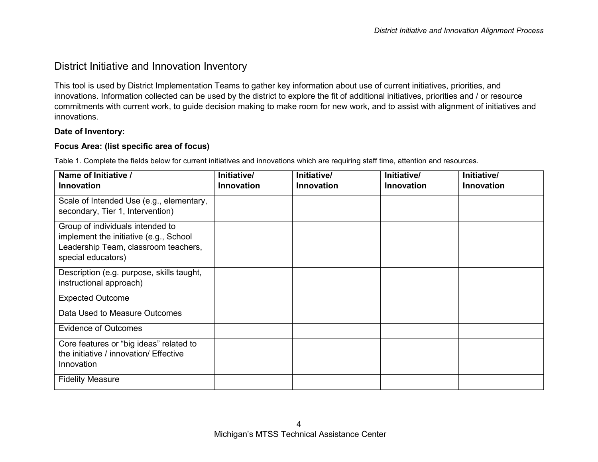### District Initiative and Innovation Inventory

This tool is used by District Implementation Teams to gather key information about use of current initiatives, priorities, and innovations. Information collected can be used by the district to explore the fit of additional initiatives, priorities and / or resource commitments with current work, to guide decision making to make room for new work, and to assist with alignment of initiatives and innovations.

#### **Date of Inventory:**

#### **Focus Area: (list specific area of focus)**

Table 1. Complete the fields below for current initiatives and innovations which are requiring staff time, attention and resources.

| Name of Initiative /<br><b>Innovation</b>                                                                                                | Initiative/<br><b>Innovation</b> | Initiative/<br><b>Innovation</b> | Initiative/<br><b>Innovation</b> | Initiative/<br>Innovation |
|------------------------------------------------------------------------------------------------------------------------------------------|----------------------------------|----------------------------------|----------------------------------|---------------------------|
| Scale of Intended Use (e.g., elementary,<br>secondary, Tier 1, Intervention)                                                             |                                  |                                  |                                  |                           |
| Group of individuals intended to<br>implement the initiative (e.g., School<br>Leadership Team, classroom teachers,<br>special educators) |                                  |                                  |                                  |                           |
| Description (e.g. purpose, skills taught,<br>instructional approach)                                                                     |                                  |                                  |                                  |                           |
| <b>Expected Outcome</b>                                                                                                                  |                                  |                                  |                                  |                           |
| Data Used to Measure Outcomes                                                                                                            |                                  |                                  |                                  |                           |
| <b>Evidence of Outcomes</b>                                                                                                              |                                  |                                  |                                  |                           |
| Core features or "big ideas" related to<br>the initiative / innovation/ Effective<br>Innovation                                          |                                  |                                  |                                  |                           |
| <b>Fidelity Measure</b>                                                                                                                  |                                  |                                  |                                  |                           |